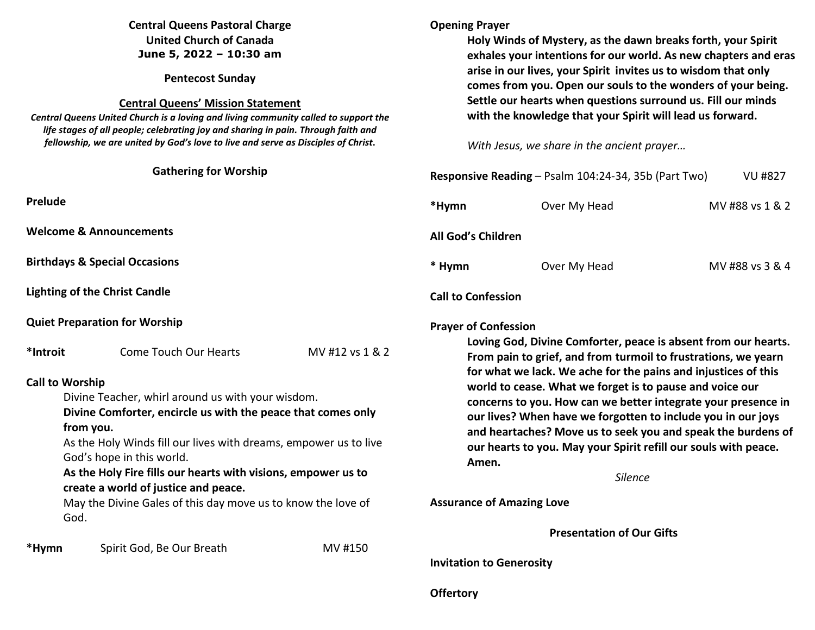# **Central Queens Pastoral Charge United Church of Canada June 5, 2022 – 10:30 am**

**Pentecost Sunday** 

## **Central Queens' Mission Statement**

 *Central Queens United Church is a loving and living community called to support the life stages of all people; celebrating joy and sharing in pain. Through faith and fellowship, we are united by God's love to live and serve as Disciples of Christ***.** 

|                        | <b>Gathering for Worship</b>                                                                                                                                                                                                                                                                                                                                                                                     |                 | Resp         |
|------------------------|------------------------------------------------------------------------------------------------------------------------------------------------------------------------------------------------------------------------------------------------------------------------------------------------------------------------------------------------------------------------------------------------------------------|-----------------|--------------|
| Prelude                |                                                                                                                                                                                                                                                                                                                                                                                                                  |                 | *Hyr         |
|                        | <b>Welcome &amp; Announcements</b>                                                                                                                                                                                                                                                                                                                                                                               |                 | All G        |
|                        | <b>Birthdays &amp; Special Occasions</b>                                                                                                                                                                                                                                                                                                                                                                         |                 | * Hy         |
|                        | <b>Lighting of the Christ Candle</b>                                                                                                                                                                                                                                                                                                                                                                             |                 | Call 1       |
|                        | <b>Quiet Preparation for Worship</b>                                                                                                                                                                                                                                                                                                                                                                             |                 | Pray         |
| *Introit               | <b>Come Touch Our Hearts</b>                                                                                                                                                                                                                                                                                                                                                                                     | MV #12 vs 1 & 2 |              |
| <b>Call to Worship</b> | Divine Teacher, whirl around us with your wisdom.<br>Divine Comforter, encircle us with the peace that comes only<br>from you.<br>As the Holy Winds fill our lives with dreams, empower us to live<br>God's hope in this world.<br>As the Holy Fire fills our hearts with visions, empower us to<br>create a world of justice and peace.<br>May the Divine Gales of this day move us to know the love of<br>God. |                 | Assu         |
| *Hymn                  | Spirit God, Be Our Breath                                                                                                                                                                                                                                                                                                                                                                                        | MV #150         | <b>Invit</b> |

# **Opening Prayer**

**Offertory**

**Holy Winds of Mystery, as the dawn breaks forth, your Spirit exhales your intentions for our world. As new chapters and eras arise in our lives, your Spirit invites us to wisdom that only comes from you. Open our souls to the wonders of your being. Settle our hearts when questions surround us. Fill our minds with the knowledge that your Spirit will lead us forward.** 

*With Jesus, we share in the ancient prayer…* 

|        | Responsive Reading - Psalm 104:24-34, 35b (Part Two)                                                                                                                                                                                                                                                                                                                                                                                                                                                                                                                                         | <b>VU #827</b>  |
|--------|----------------------------------------------------------------------------------------------------------------------------------------------------------------------------------------------------------------------------------------------------------------------------------------------------------------------------------------------------------------------------------------------------------------------------------------------------------------------------------------------------------------------------------------------------------------------------------------------|-----------------|
| *Hymn  | Over My Head                                                                                                                                                                                                                                                                                                                                                                                                                                                                                                                                                                                 | MV #88 vs 1 & 2 |
|        | <b>All God's Children</b>                                                                                                                                                                                                                                                                                                                                                                                                                                                                                                                                                                    |                 |
| * Hymn | Over My Head                                                                                                                                                                                                                                                                                                                                                                                                                                                                                                                                                                                 | MV #88 vs 3 & 4 |
|        | <b>Call to Confession</b>                                                                                                                                                                                                                                                                                                                                                                                                                                                                                                                                                                    |                 |
|        | <b>Prayer of Confession</b><br>Loving God, Divine Comforter, peace is absent from our hearts.<br>From pain to grief, and from turmoil to frustrations, we yearn<br>for what we lack. We ache for the pains and injustices of this<br>world to cease. What we forget is to pause and voice our<br>concerns to you. How can we better integrate your presence in<br>our lives? When have we forgotten to include you in our joys<br>and heartaches? Move us to seek you and speak the burdens of<br>our hearts to you. May your Spirit refill our souls with peace.<br>Amen.<br><b>Silence</b> |                 |
|        | <b>Assurance of Amazing Love</b>                                                                                                                                                                                                                                                                                                                                                                                                                                                                                                                                                             |                 |
|        |                                                                                                                                                                                                                                                                                                                                                                                                                                                                                                                                                                                              |                 |
|        | <b>Presentation of Our Gifts</b>                                                                                                                                                                                                                                                                                                                                                                                                                                                                                                                                                             |                 |
|        | <b>Invitation to Generosity</b>                                                                                                                                                                                                                                                                                                                                                                                                                                                                                                                                                              |                 |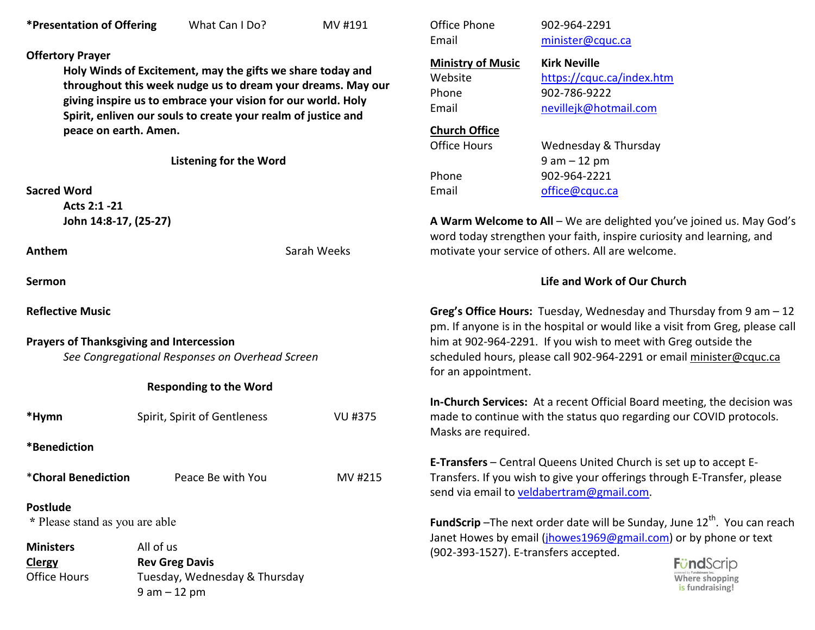## **Offertory Prayer**

**Holy Winds of Excitement, may the gifts we share today and throughout this week nudge us to dream your dreams. May our giving inspire us to embrace your vision for our world. Holy Spirit, enliven our souls to create your realm of justice and peace on earth. Amen.** 

| <b>Listening for the Word</b> |  |  |  |
|-------------------------------|--|--|--|
|-------------------------------|--|--|--|

## **Sacred Word**

 **Acts 2:1 -21 John 14:8-17, (25-27)** 

**Anthem Sarah Weeks** 

**Sermon** 

**Reflective Music** 

# **Prayers of Thanksgiving and Intercession**

*See Congregational Responses on Overhead Screen* 

| <b>Responding to the Word</b> |  |  |  |
|-------------------------------|--|--|--|
|-------------------------------|--|--|--|

| *Hymn                                             | Spirit, Spirit of Gentleness  | VU #375 |
|---------------------------------------------------|-------------------------------|---------|
| *Benediction                                      |                               |         |
| *Choral Benediction                               | Peace Be with You             | MV #215 |
| <b>Postlude</b><br>* Please stand as you are able |                               |         |
| <b>Ministers</b>                                  | All of us                     |         |
| <b>Clergy</b>                                     | <b>Rev Greg Davis</b>         |         |
| <b>Office Hours</b>                               | Tuesday, Wednesday & Thursday |         |

9 am – 12 pm

| Office Phone<br>Email    |
|--------------------------|
| <b>Ministry of Music</b> |
|                          |
| Website                  |

 **Kirk Neville**Website https://cquc.ca/index.htm Phone 902-786-9222 Email nevillejk@hotmail.com

Office Phone 902-964-2291 minister@cquc.ca

## **Church Office**

Office Hours

Wednesday & Thursday 9 am – 12 pm Phone 902-964-2221 Email office@cquc.ca

**A Warm Welcome to All** – We are delighted you've joined us. May God's word today strengthen your faith, inspire curiosity and learning, and motivate your service of others. All are welcome.

# **Life and Work of Our Church**

**Greg's Office Hours:** Tuesday, Wednesday and Thursday from 9 am – 12 pm. If anyone is in the hospital or would like a visit from Greg, please call him at 902-964-2291. If you wish to meet with Greg outside the scheduled hours, please call 902-964-2291 or email minister@cquc.ca for an appointment.

**In-Church Services:** At a recent Official Board meeting, the decision was made to continue with the status quo regarding our COVID protocols. Masks are required.

**E-Transfers** – Central Queens United Church is set up to accept E-Transfers. If you wish to give your offerings through E-Transfer, please send via email to veldabertram@gmail.com.

**FundScrip** –The next order date will be Sunday, June 12<sup>th</sup>. You can reach Janet Howes by email (jhowes1969@gmail.com) or by phone or text (902-393-1527). E-transfers accepted.

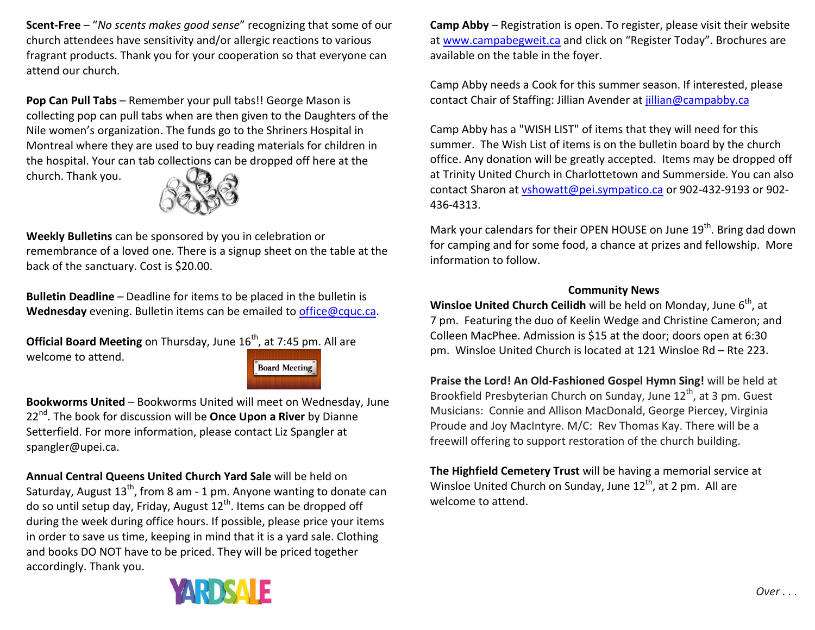**Scent-Free** – "*No scents makes good sense*" recognizing that some of our church attendees have sensitivity and/or allergic reactions to various fragrant products. Thank you for your cooperation so that everyone can attend our church.

**Pop Can Pull Tabs** – Remember your pull tabs!! George Mason is collecting pop can pull tabs when are then given to the Daughters of the Nile women's organization. The funds go to the Shriners Hospital in Montreal where they are used to buy reading materials for children in the hospital. Your can tab collections can be dropped off here at the church. Thank you.



**Weekly Bulletins** can be sponsored by you in celebration or remembrance of a loved one. There is a signup sheet on the table at the back of the sanctuary. Cost is \$20.00.

**Bulletin Deadline** – Deadline for items to be placed in the bulletin is **Wednesday** evening. Bulletin items can be emailed to office@cquc.ca.

**Official Board Meeting** on Thursday, June 16<sup>th</sup>, at 7:45 pm. All are welcome to attend.



**Bookworms United** – Bookworms United will meet on Wednesday, June 22nd. The book for discussion will be **Once Upon a River** by Dianne Setterfield. For more information, please contact Liz Spangler at spangler@upei.ca.

**Annual Central Queens United Church Yard Sale** will be held on Saturday, August 13<sup>th</sup>, from 8 am - 1 pm. Anyone wanting to donate can do so until setup day, Friday, August  $12<sup>th</sup>$ . Items can be dropped off during the week during office hours. If possible, please price your items in order to save us time, keeping in mind that it is a yard sale. Clothing and books DO NOT have to be priced. They will be priced together accordingly. Thank you.



**Camp Abby** – Registration is open. To register, please visit their website at www.campabegweit.ca and click on "Register Today". Brochures are available on the table in the foyer.

Camp Abby needs a Cook for this summer season. If interested, please contact Chair of Staffing: Jillian Avender at jillian@campabby.ca

Camp Abby has a "WISH LIST" of items that they will need for this summer. The Wish List of items is on the bulletin board by the church office. Any donation will be greatly accepted. Items may be dropped off at Trinity United Church in Charlottetown and Summerside. You can also contact Sharon at vshowatt@pei.sympatico.ca or 902-432-9193 or 902-436-4313.

Mark your calendars for their OPEN HOUSE on June 19<sup>th</sup>. Bring dad down for camping and for some food, a chance at prizes and fellowship. More information to follow.

## **Community News**

**Winsloe United Church Ceilidh** will be held on Monday, June 6<sup>th</sup>, at 7 pm. Featuring the duo of Keelin Wedge and Christine Cameron; and Colleen MacPhee. Admission is \$15 at the door; doors open at 6:30 pm. Winsloe United Church is located at 121 Winsloe Rd – Rte 223.

**Praise the Lord! An Old-Fashioned Gospel Hymn Sing!** will be held at Brookfield Presbyterian Church on Sunday, June 12<sup>th</sup>, at 3 pm. Guest Musicians: Connie and Allison MacDonald, George Piercey, Virginia Proude and Joy MacIntyre. M/C: Rev Thomas Kay. There will be a freewill offering to support restoration of the church building.

**The Highfield Cemetery Trust** will be having a memorial service at Winsloe United Church on Sunday, June  $12<sup>th</sup>$ , at 2 pm. All are welcome to attend.